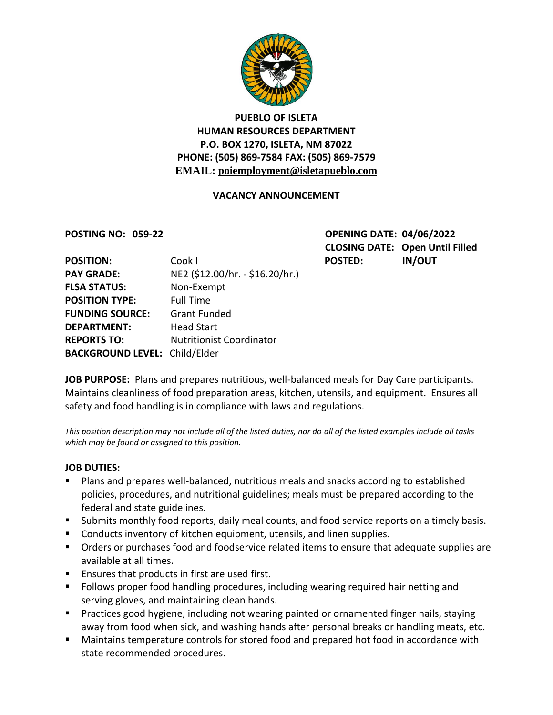

# **PUEBLO OF ISLETA HUMAN RESOURCES DEPARTMENT P.O. BOX 1270, ISLETA, NM 87022 PHONE: (505) 869-7584 FAX: (505) 869-7579 EMAIL: poiemployment@isletapueblo.com**

## **VACANCY ANNOUNCEMENT**

**POSTING NO: 059-22 OPENING DATE: 04/06/2022 CLOSING DATE: Open Until Filled**

| <b>POSITION:</b>                     | Cook I                          | <b>POSTED:</b> | <b>IN/OUT</b> |
|--------------------------------------|---------------------------------|----------------|---------------|
| <b>PAY GRADE:</b>                    | NE2 (\$12.00/hr. - \$16.20/hr.) |                |               |
| <b>FLSA STATUS:</b>                  | Non-Exempt                      |                |               |
| <b>POSITION TYPE:</b>                | <b>Full Time</b>                |                |               |
| <b>FUNDING SOURCE:</b>               | <b>Grant Funded</b>             |                |               |
| <b>DEPARTMENT:</b>                   | <b>Head Start</b>               |                |               |
| <b>REPORTS TO:</b>                   | <b>Nutritionist Coordinator</b> |                |               |
| <b>BACKGROUND LEVEL: Child/Elder</b> |                                 |                |               |

**JOB PURPOSE:** Plans and prepares nutritious, well-balanced meals for Day Care participants. Maintains cleanliness of food preparation areas, kitchen, utensils, and equipment. Ensures all safety and food handling is in compliance with laws and regulations.

*This position description may not include all of the listed duties, nor do all of the listed examples include all tasks which may be found or assigned to this position.*

## **JOB DUTIES:**

- Plans and prepares well-balanced, nutritious meals and snacks according to established policies, procedures, and nutritional guidelines; meals must be prepared according to the federal and state guidelines.
- Submits monthly food reports, daily meal counts, and food service reports on a timely basis.
- Conducts inventory of kitchen equipment, utensils, and linen supplies.
- **•** Orders or purchases food and foodservice related items to ensure that adequate supplies are available at all times.
- Ensures that products in first are used first.
- **F** Follows proper food handling procedures, including wearing required hair netting and serving gloves, and maintaining clean hands.
- **Practices good hygiene, including not wearing painted or ornamented finger nails, staying** away from food when sick, and washing hands after personal breaks or handling meats, etc.
- Maintains temperature controls for stored food and prepared hot food in accordance with state recommended procedures.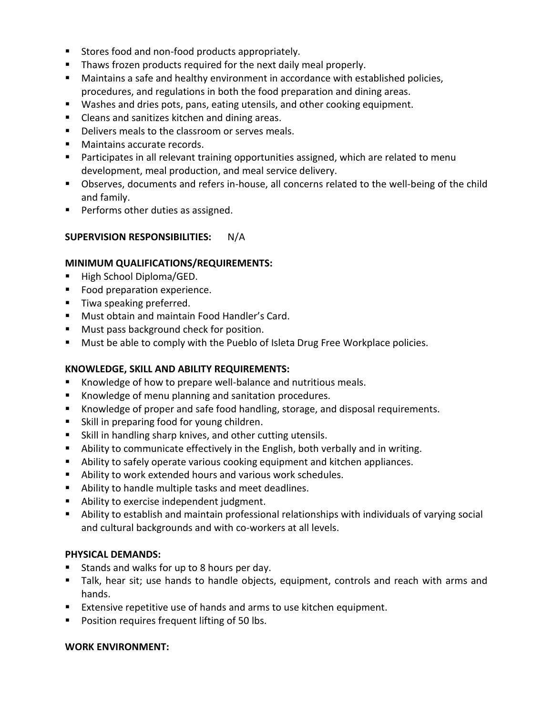- Stores food and non-food products appropriately.
- **Thaws frozen products required for the next daily meal properly.**
- Maintains a safe and healthy environment in accordance with established policies, procedures, and regulations in both the food preparation and dining areas.
- Washes and dries pots, pans, eating utensils, and other cooking equipment.
- **EXEC** Cleans and sanitizes kitchen and dining areas.
- Delivers meals to the classroom or serves meals.
- **Maintains accurate records.**
- **Participates in all relevant training opportunities assigned, which are related to menu** development, meal production, and meal service delivery.
- Observes, documents and refers in-house, all concerns related to the well-being of the child and family.
- **Performs other duties as assigned.**

## **SUPERVISION RESPONSIBILITIES:** N/A

#### **MINIMUM QUALIFICATIONS/REQUIREMENTS:**

- High School Diploma/GED.
- **Food preparation experience.**
- Tiwa speaking preferred.
- **Must obtain and maintain Food Handler's Card.**
- **Must pass background check for position.**
- **Must be able to comply with the Pueblo of Isleta Drug Free Workplace policies.**

## **KNOWLEDGE, SKILL AND ABILITY REQUIREMENTS:**

- Knowledge of how to prepare well-balance and nutritious meals.
- **Knowledge of menu planning and sanitation procedures.**
- Knowledge of proper and safe food handling, storage, and disposal requirements.
- **Skill in preparing food for young children.**
- Skill in handling sharp knives, and other cutting utensils.
- Ability to communicate effectively in the English, both verbally and in writing.
- Ability to safely operate various cooking equipment and kitchen appliances.
- Ability to work extended hours and various work schedules.
- Ability to handle multiple tasks and meet deadlines.
- **Ability to exercise independent judgment.**
- Ability to establish and maintain professional relationships with individuals of varying social and cultural backgrounds and with co-workers at all levels.

#### **PHYSICAL DEMANDS:**

- Stands and walks for up to 8 hours per day.
- Talk, hear sit; use hands to handle objects, equipment, controls and reach with arms and hands.
- Extensive repetitive use of hands and arms to use kitchen equipment.
- **Position requires frequent lifting of 50 lbs.**

## **WORK ENVIRONMENT:**